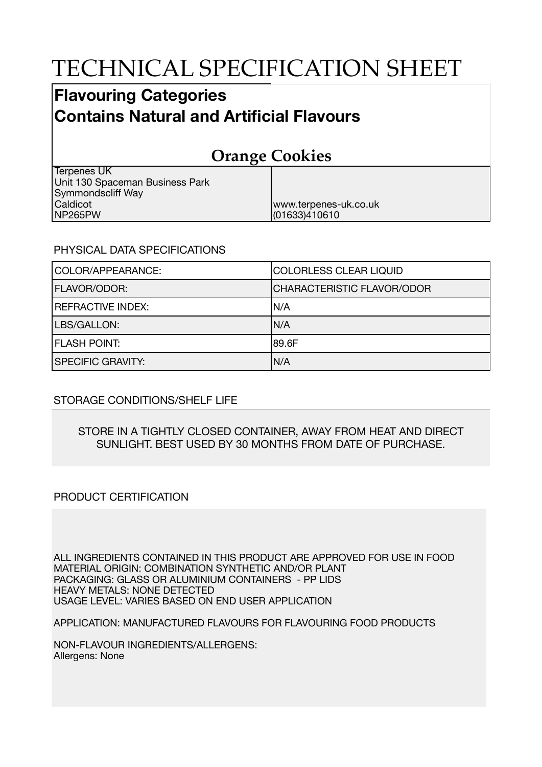# TECHNICAL SPECIFICATION SHEET

### **Flavouring Categories Contains Natural and Artificial Flavours**

## **Orange Cookies**

www.terpenes-uk.co.uk

(01633)410610

Terpenes UK Unit 130 Spaceman Business Park Symmondscliff Way Caldicot NP265PW

#### PHYSICAL DATA SPECIFICATIONS

| COLOR/APPEARANCE:        | <b>COLORLESS CLEAR LIQUID</b>     |
|--------------------------|-----------------------------------|
| <b>FLAVOR/ODOR:</b>      | <b>CHARACTERISTIC FLAVOR/ODOR</b> |
| <b>REFRACTIVE INDEX:</b> | IN/A                              |
| LBS/GALLON:              | N/A                               |
| <b>FLASH POINT:</b>      | 189.6F                            |
| <b>SPECIFIC GRAVITY:</b> | N/A                               |

#### STORAGE CONDITIONS/SHELF LIFE

#### STORE IN A TIGHTLY CLOSED CONTAINER, AWAY FROM HEAT AND DIRECT SUNLIGHT. BEST USED BY 30 MONTHS FROM DATE OF PURCHASE.

#### PRODUCT CERTIFICATION

ALL INGREDIENTS CONTAINED IN THIS PRODUCT ARE APPROVED FOR USE IN FOOD MATERIAL ORIGIN: COMBINATION SYNTHETIC AND/OR PLANT PACKAGING: GLASS OR ALUMINIUM CONTAINERS - PP LIDS HEAVY METALS: NONE DETECTED USAGE LEVEL: VARIES BASED ON END USER APPLICATION

APPLICATION: MANUFACTURED FLAVOURS FOR FLAVOURING FOOD PRODUCTS

NON-FLAVOUR INGREDIENTS/ALLERGENS: Allergens: None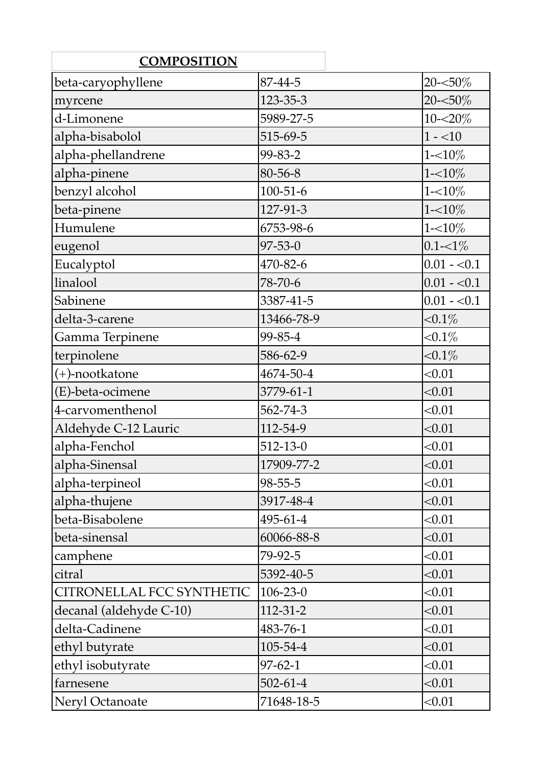| <b>COMPOSITION</b>        |                |              |
|---------------------------|----------------|--------------|
| beta-caryophyllene        | 87-44-5        | $20 - 50\%$  |
| myrcene                   | 123-35-3       | $20 - 50\%$  |
| d-Limonene                | 5989-27-5      | $10 - 20\%$  |
| alpha-bisabolol           | 515-69-5       | $1 - 10$     |
| alpha-phellandrene        | 99-83-2        | $1 - 10\%$   |
| alpha-pinene              | 80-56-8        | $1 - 10\%$   |
| benzyl alcohol            | $100 - 51 - 6$ | $1 - 10\%$   |
| beta-pinene               | 127-91-3       | $1 - 10\%$   |
| Humulene                  | 6753-98-6      | $1 - 10\%$   |
| eugenol                   | 97-53-0        | $0.1 - 1\%$  |
| Eucalyptol                | 470-82-6       | $0.01 - 0.1$ |
| linalool                  | 78-70-6        | $0.01 - 0.1$ |
| Sabinene                  | 3387-41-5      | $0.01 - 0.1$ |
| delta-3-carene            | 13466-78-9     | ${<}0.1\%$   |
| Gamma Terpinene           | 99-85-4        | $< 0.1\%$    |
| terpinolene               | 586-62-9       | ${<}0.1\%$   |
| (+)-nootkatone            | 4674-50-4      | < 0.01       |
| (E)-beta-ocimene          | 3779-61-1      | < 0.01       |
| 4-carvomenthenol          | 562-74-3       | < 0.01       |
| Aldehyde C-12 Lauric      | 112-54-9       | < 0.01       |
| alpha-Fenchol             | $512 - 13 - 0$ | < 0.01       |
| alpha-Sinensal            | 17909-77-2     | < 0.01       |
| alpha-terpineol           | 98-55-5        | < 0.01       |
| alpha-thujene             | 3917-48-4      | < 0.01       |
| beta-Bisabolene           | 495-61-4       | < 0.01       |
| beta-sinensal             | 60066-88-8     | < 0.01       |
| camphene                  | 79-92-5        | < 0.01       |
| citral                    | 5392-40-5      | < 0.01       |
| CITRONELLAL FCC SYNTHETIC | $106 - 23 - 0$ | < 0.01       |
| decanal (aldehyde C-10)   | $112 - 31 - 2$ | < 0.01       |
| delta-Cadinene            | 483-76-1       | < 0.01       |
| ethyl butyrate            | 105-54-4       | < 0.01       |
| ethyl isobutyrate         | $97 - 62 - 1$  | < 0.01       |
| farnesene                 | $502 - 61 - 4$ | < 0.01       |
| Neryl Octanoate           | 71648-18-5     | < 0.01       |